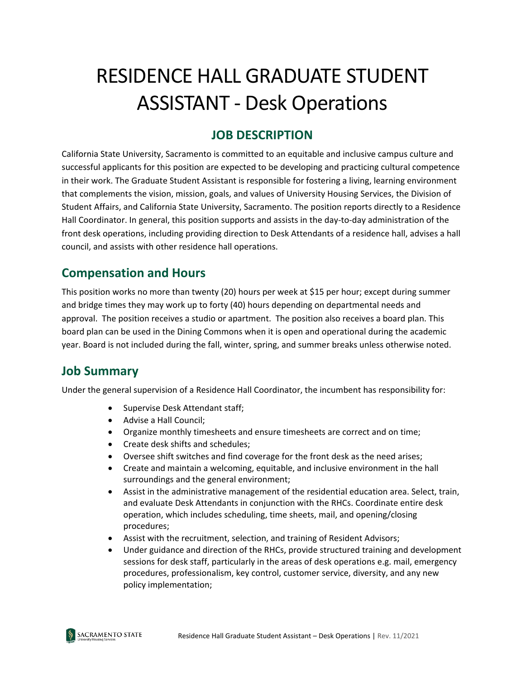# RESIDENCE HALL GRADUATE STUDENT ASSISTANT - Desk Operations

## **JOB DESCRIPTION**

California State University, Sacramento is committed to an equitable and inclusive campus culture and successful applicants for this position are expected to be developing and practicing cultural competence in their work. The Graduate Student Assistant is responsible for fostering a living, learning environment that complements the vision, mission, goals, and values of University Housing Services, the Division of Student Affairs, and California State University, Sacramento. The position reports directly to a Residence Hall Coordinator. In general, this position supports and assists in the day-to-day administration of the front desk operations, including providing direction to Desk Attendants of a residence hall, advises a hall council, and assists with other residence hall operations.

## **Compensation and Hours**

This position works no more than twenty (20) hours per week at \$15 per hour; except during summer and bridge times they may work up to forty (40) hours depending on departmental needs and approval. The position receives a studio or apartment. The position also receives a board plan. This board plan can be used in the Dining Commons when it is open and operational during the academic year. Board is not included during the fall, winter, spring, and summer breaks unless otherwise noted.

## **Job Summary**

Under the general supervision of a Residence Hall Coordinator, the incumbent has responsibility for:

- Supervise Desk Attendant staff;
- Advise a Hall Council;
- Organize monthly timesheets and ensure timesheets are correct and on time;
- Create desk shifts and schedules;
- Oversee shift switches and find coverage for the front desk as the need arises;
- Create and maintain a welcoming, equitable, and inclusive environment in the hall surroundings and the general environment;
- Assist in the administrative management of the residential education area. Select, train, and evaluate Desk Attendants in conjunction with the RHCs. Coordinate entire desk operation, which includes scheduling, time sheets, mail, and opening/closing procedures;
- Assist with the recruitment, selection, and training of Resident Advisors;
- Under guidance and direction of the RHCs, provide structured training and development sessions for desk staff, particularly in the areas of desk operations e.g. mail, emergency procedures, professionalism, key control, customer service, diversity, and any new policy implementation;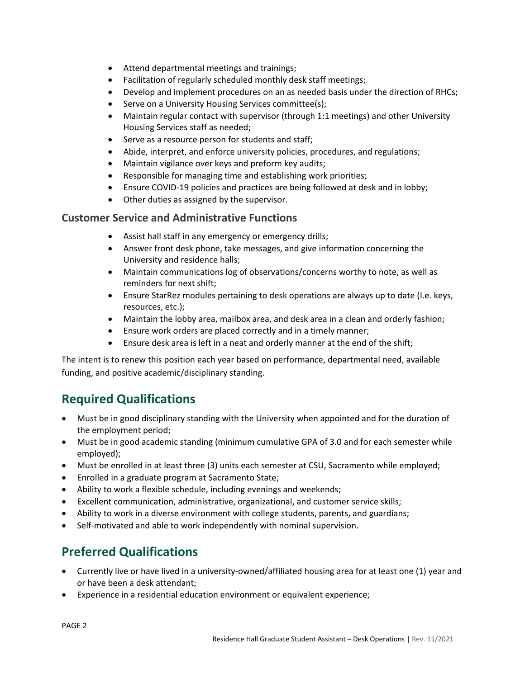- Attend departmental meetings and trainings;
- Facilitation of regularly scheduled monthly desk staff meetings;
- Develop and implement procedures on an as needed basis under the direction of RHCs;
- Serve on a University Housing Services committee(s);
- Maintain regular contact with supervisor (through 1:1 meetings) and other University Housing Services staff as needed;
- Serve as a resource person for students and staff;
- Abide, interpret, and enforce university policies, procedures, and regulations;
- Maintain vigilance over keys and preform key audits;
- Responsible for managing time and establishing work priorities;
- Ensure COVID-19 policies and practices are being followed at desk and in lobby;
- Other duties as assigned by the supervisor.

#### **Customer Service and Administrative Functions**

- Assist hall staff in any emergency or emergency drills;
- Answer front desk phone, take messages, and give information concerning the University and residence halls;
- Maintain communications log of observations/concerns worthy to note, as well as reminders for next shift;
- Ensure StarRez modules pertaining to desk operations are always up to date (I.e. keys, resources, etc.);
- Maintain the lobby area, mailbox area, and desk area in a clean and orderly fashion;
- Ensure work orders are placed correctly and in a timely manner;
- Ensure desk area is left in a neat and orderly manner at the end of the shift;

The intent is to renew this position each year based on performance, departmental need, available funding, and positive academic/disciplinary standing.

## **Required Qualifications**

- Must be in good disciplinary standing with the University when appointed and for the duration of the employment period;
- Must be in good academic standing (minimum cumulative GPA of 3.0 and for each semester while employed);
- Must be enrolled in at least three (3) units each semester at CSU, Sacramento while employed;
- Enrolled in a graduate program at Sacramento State;
- Ability to work a flexible schedule, including evenings and weekends;
- Excellent communication, administrative, organizational, and customer service skills;
- Ability to work in a diverse environment with college students, parents, and guardians;
- Self-motivated and able to work independently with nominal supervision.

# **Preferred Qualifications**

- Currently live or have lived in a university-owned/affiliated housing area for at least one (1) year and or have been a desk attendant;
- Experience in a residential education environment or equivalent experience;